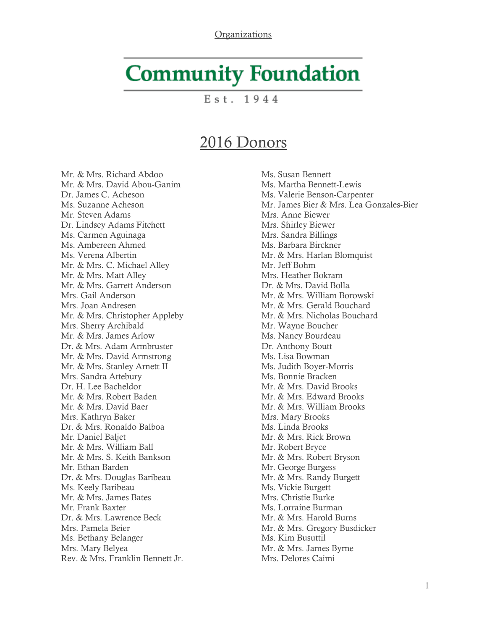## **Community Foundation**

 $Est. 1944$ 

## 2016 Donors

Mr. & Mrs. Richard Abdoo Mr. & Mrs. David Abou-Ganim Dr. James C. Acheson Ms. Suzanne Acheson Mr. Steven Adams Dr. Lindsey Adams Fitchett Ms. Carmen Aguinaga Ms. Ambereen Ahmed Ms. Verena Albertin Mr. & Mrs. C. Michael Alley Mr. & Mrs. Matt Alley Mr. & Mrs. Garrett Anderson Mrs. Gail Anderson Mrs. Joan Andresen Mr. & Mrs. Christopher Appleby Mrs. Sherry Archibald Mr. & Mrs. James Arlow Dr. & Mrs. Adam Armbruster Mr. & Mrs. David Armstrong Mr. & Mrs. Stanley Arnett II Mrs. Sandra Attebury Dr. H. Lee Bacheldor Mr. & Mrs. Robert Baden Mr. & Mrs. David Baer Mrs. Kathryn Baker Dr. & Mrs. Ronaldo Balboa Mr. Daniel Baljet Mr. & Mrs. William Ball Mr. & Mrs. S. Keith Bankson Mr. Ethan Barden Dr. & Mrs. Douglas Baribeau Ms. Keely Baribeau Mr. & Mrs. James Bates Mr. Frank Baxter Dr. & Mrs. Lawrence Beck Mrs. Pamela Beier Ms. Bethany Belanger Mrs. Mary Belyea Rev. & Mrs. Franklin Bennett Jr. Ms. Susan Bennett Ms. Martha Bennett-Lewis Ms. Valerie Benson-Carpenter Mr. James Bier & Mrs. Lea Gonzales-Bier Mrs. Anne Biewer Mrs. Shirley Biewer Mrs. Sandra Billings Ms. Barbara Birckner Mr. & Mrs. Harlan Blomquist Mr. Jeff Bohm Mrs. Heather Bokram Dr. & Mrs. David Bolla Mr. & Mrs. William Borowski Mr. & Mrs. Gerald Bouchard Mr. & Mrs. Nicholas Bouchard Mr. Wayne Boucher Ms. Nancy Bourdeau Dr. Anthony Boutt Ms. Lisa Bowman Ms. Judith Boyer-Morris Ms. Bonnie Bracken Mr. & Mrs. David Brooks Mr. & Mrs. Edward Brooks Mr. & Mrs. William Brooks Mrs. Mary Brooks Ms. Linda Brooks Mr. & Mrs. Rick Brown Mr. Robert Bryce Mr. & Mrs. Robert Bryson Mr. George Burgess Mr. & Mrs. Randy Burgett Ms. Vickie Burgett Mrs. Christie Burke Ms. Lorraine Burman Mr. & Mrs. Harold Burns Mr. & Mrs. Gregory Busdicker Ms. Kim Busuttil Mr. & Mrs. James Byrne Mrs. Delores Caimi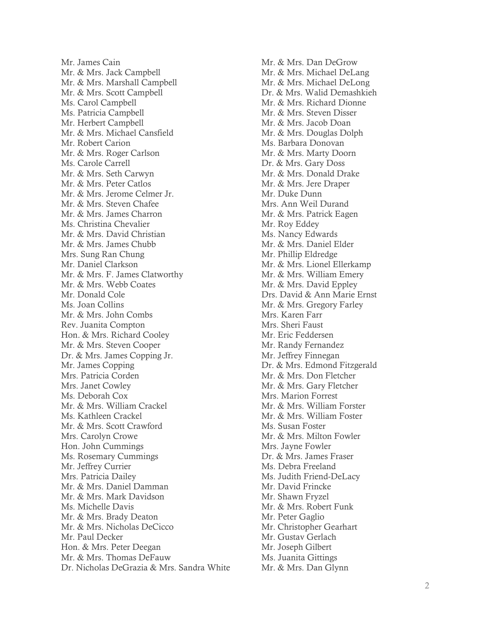Mr. James Cain Mr. & Mrs. Jack Campbell Mr. & Mrs. Marshall Campbell Mr. & Mrs. Scott Campbell Ms. Carol Campbell Ms. Patricia Campbell Mr. Herbert Campbell Mr. & Mrs. Michael Cansfield Mr. Robert Carion Mr. & Mrs. Roger Carlson Ms. Carole Carrell Mr. & Mrs. Seth Carwyn Mr. & Mrs. Peter Catlos Mr. & Mrs. Jerome Celmer Jr. Mr. & Mrs. Steven Chafee Mr. & Mrs. James Charron Ms. Christina Chevalier Mr. & Mrs. David Christian Mr. & Mrs. James Chubb Mrs. Sung Ran Chung Mr. Daniel Clarkson Mr. & Mrs. F. James Clatworthy Mr. & Mrs. Webb Coates Mr. Donald Cole Ms. Joan Collins Mr. & Mrs. John Combs Rev. Juanita Compton Hon. & Mrs. Richard Cooley Mr. & Mrs. Steven Cooper Dr. & Mrs. James Copping Jr. Mr. James Copping Mrs. Patricia Corden Mrs. Janet Cowley Ms. Deborah Cox Mr. & Mrs. William Crackel Ms. Kathleen Crackel Mr. & Mrs. Scott Crawford Mrs. Carolyn Crowe Hon. John Cummings Ms. Rosemary Cummings Mr. Jeffrey Currier Mrs. Patricia Dailey Mr. & Mrs. Daniel Damman Mr. & Mrs. Mark Davidson Ms. Michelle Davis Mr. & Mrs. Brady Deaton Mr. & Mrs. Nicholas DeCicco Mr. Paul Decker Hon. & Mrs. Peter Deegan Mr. & Mrs. Thomas DeFauw Dr. Nicholas DeGrazia & Mrs. Sandra White Mr. & Mrs. Dan DeGrow Mr. & Mrs. Michael DeLang Mr. & Mrs. Michael DeLong Dr. & Mrs. Walid Demashkieh Mr. & Mrs. Richard Dionne Mr. & Mrs. Steven Disser Mr. & Mrs. Jacob Doan Mr. & Mrs. Douglas Dolph Ms. Barbara Donovan Mr. & Mrs. Marty Doorn Dr. & Mrs. Gary Doss Mr. & Mrs. Donald Drake Mr. & Mrs. Jere Draper Mr. Duke Dunn Mrs. Ann Weil Durand Mr. & Mrs. Patrick Eagen Mr. Roy Eddey Ms. Nancy Edwards Mr. & Mrs. Daniel Elder Mr. Phillip Eldredge Mr. & Mrs. Lionel Ellerkamp Mr. & Mrs. William Emery Mr. & Mrs. David Eppley Drs. David & Ann Marie Ernst Mr. & Mrs. Gregory Farley Mrs. Karen Farr Mrs. Sheri Faust Mr. Eric Feddersen Mr. Randy Fernandez Mr. Jeffrey Finnegan Dr. & Mrs. Edmond Fitzgerald Mr. & Mrs. Don Fletcher Mr. & Mrs. Gary Fletcher Mrs. Marion Forrest Mr. & Mrs. William Forster Mr. & Mrs. William Foster Ms. Susan Foster Mr. & Mrs. Milton Fowler Mrs. Jayne Fowler Dr. & Mrs. James Fraser Ms. Debra Freeland Ms. Judith Friend-DeLacy Mr. David Frincke Mr. Shawn Fryzel Mr. & Mrs. Robert Funk Mr. Peter Gaglio Mr. Christopher Gearhart Mr. Gustav Gerlach Mr. Joseph Gilbert Ms. Juanita Gittings Mr. & Mrs. Dan Glynn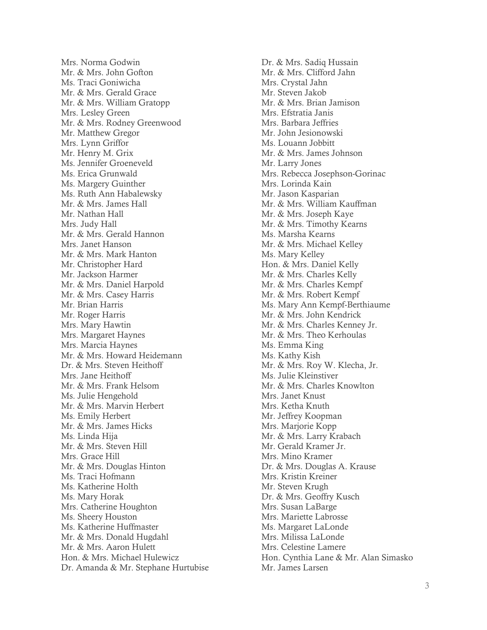Mrs. Norma Godwin Mr. & Mrs. John Gofton Ms. Traci Goniwicha Mr. & Mrs. Gerald Grace Mr. & Mrs. William Gratopp Mrs. Lesley Green Mr. & Mrs. Rodney Greenwood Mr. Matthew Gregor Mrs. Lynn Griffor Mr. Henry M. Grix Ms. Jennifer Groeneveld Ms. Erica Grunwald Ms. Margery Guinther Ms. Ruth Ann Habalewsky Mr. & Mrs. James Hall Mr. Nathan Hall Mrs. Judy Hall Mr. & Mrs. Gerald Hannon Mrs. Janet Hanson Mr. & Mrs. Mark Hanton Mr. Christopher Hard Mr. Jackson Harmer Mr. & Mrs. Daniel Harpold Mr. & Mrs. Casey Harris Mr. Brian Harris Mr. Roger Harris Mrs. Mary Hawtin Mrs. Margaret Haynes Mrs. Marcia Haynes Mr. & Mrs. Howard Heidemann Dr. & Mrs. Steven Heithoff Mrs. Jane Heithoff Mr. & Mrs. Frank Helsom Ms. Julie Hengehold Mr. & Mrs. Marvin Herbert Ms. Emily Herbert Mr. & Mrs. James Hicks Ms. Linda Hija Mr. & Mrs. Steven Hill Mrs. Grace Hill Mr. & Mrs. Douglas Hinton Ms. Traci Hofmann Ms. Katherine Holth Ms. Mary Horak Mrs. Catherine Houghton Ms. Sheery Houston Ms. Katherine Huffmaster Mr. & Mrs. Donald Hugdahl Mr. & Mrs. Aaron Hulett Hon. & Mrs. Michael Hulewicz Dr. Amanda & Mr. Stephane Hurtubise Dr. & Mrs. Sadiq Hussain Mr. & Mrs. Clifford Jahn Mrs. Crystal Jahn Mr. Steven Jakob Mr. & Mrs. Brian Jamison Mrs. Efstratia Janis Mrs. Barbara Jeffries Mr. John Jesionowski Ms. Louann Jobbitt Mr. & Mrs. James Johnson Mr. Larry Jones Mrs. Rebecca Josephson-Gorinac Mrs. Lorinda Kain Mr. Jason Kasparian Mr. & Mrs. William Kauffman Mr. & Mrs. Joseph Kaye Mr. & Mrs. Timothy Kearns Ms. Marsha Kearns Mr. & Mrs. Michael Kelley Ms. Mary Kelley Hon. & Mrs. Daniel Kelly Mr. & Mrs. Charles Kelly Mr. & Mrs. Charles Kempf Mr. & Mrs. Robert Kempf Ms. Mary Ann Kempf-Berthiaume Mr. & Mrs. John Kendrick Mr. & Mrs. Charles Kenney Jr. Mr. & Mrs. Theo Kerhoulas Ms. Emma King Ms. Kathy Kish Mr. & Mrs. Roy W. Klecha, Jr. Ms. Julie Kleinstiver Mr. & Mrs. Charles Knowlton Mrs. Janet Knust Mrs. Ketha Knuth Mr. Jeffrey Koopman Mrs. Marjorie Kopp Mr. & Mrs. Larry Krabach Mr. Gerald Kramer Jr. Mrs. Mino Kramer Dr. & Mrs. Douglas A. Krause Mrs. Kristin Kreiner Mr. Steven Krugh Dr. & Mrs. Geoffry Kusch Mrs. Susan LaBarge Mrs. Mariette Labrosse Ms. Margaret LaLonde Mrs. Milissa LaLonde Mrs. Celestine Lamere Hon. Cynthia Lane & Mr. Alan Simasko Mr. James Larsen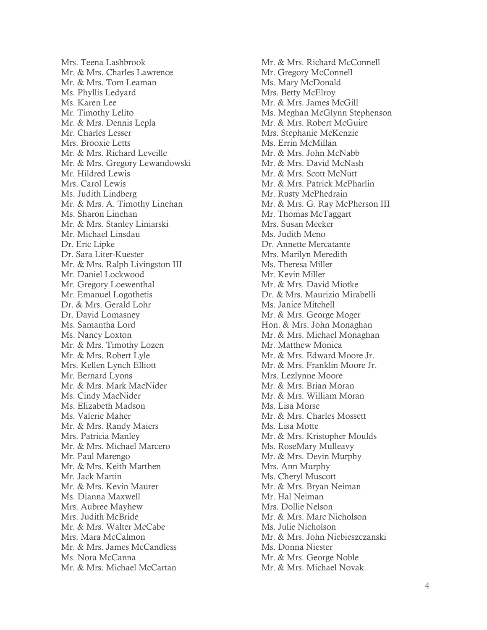Mrs. Teena Lashbrook Mr. & Mrs. Charles Lawrence Mr. & Mrs. Tom Leaman Ms. Phyllis Ledyard Ms. Karen Lee Mr. Timothy Lelito Mr. & Mrs. Dennis Lepla Mr. Charles Lesser Mrs. Brooxie Letts Mr. & Mrs. Richard Leveille Mr. & Mrs. Gregory Lewandowski Mr. Hildred Lewis Mrs. Carol Lewis Ms. Judith Lindberg Mr. & Mrs. A. Timothy Linehan Ms. Sharon Linehan Mr. & Mrs. Stanley Liniarski Mr. Michael Linsdau Dr. Eric Lipke Dr. Sara Liter -Kuester Mr. & Mrs. Ralph Livingston III Mr. Daniel Lockwood Mr. Gregory Loewenthal Mr. Emanuel Logothetis Dr. & Mrs. Gerald Lohr Dr. David Lomasney Ms. Samantha Lord Ms. Nancy Loxton Mr. & Mrs. Timothy Lozen Mr. & Mrs. Robert Lyle Mrs. Kellen Lynch Elliott Mr. Bernard Lyons Mr. & Mrs. Mark MacNider Ms. Cindy MacNider Ms. Elizabeth Madson Ms. Valerie Maher Mr. & Mrs. Randy Maiers Mrs. Patricia Manley Mr. & Mrs. Michael Marcero Mr. Paul Marengo Mr. & Mrs. Keith Marthen Mr. Jack Martin Mr. & Mrs. Kevin Maurer Ms. Dianna Maxwell Mrs. Aubree Mayhew Mrs. Judith McBride Mr. & Mrs. Walter McCabe Mrs. Mara McCalmon Mr. & Mrs. James McCandless Ms. Nora McCanna Mr. & Mrs. Michael McCartan

Mr. & Mrs. Richard McConnell Mr. Gregory McConnell Ms. Mary McDonald Mrs. Betty McElroy Mr. & Mrs. James McGill Ms. Meghan McGlynn Stephenson Mr. & Mrs. Robert McGuire Mrs. Stephanie McKenzie Ms. Errin McMillan Mr. & Mrs. John McNabb Mr. & Mrs. David McNash Mr. & Mrs. Scott McNutt Mr. & Mrs. Patrick McPharlin Mr. Rusty McPhedrain Mr. & Mrs. G. Ray McPherson III Mr. Thomas McTaggart Mrs. Susan Meeker Ms. Judith Meno Dr. Annette Mercatante Mrs. Marilyn Meredith Ms. Theresa Miller Mr. Kevin Miller Mr. & Mrs. David Miotke Dr. & Mrs. Maurizio Mirabelli Ms. Janice Mitchell Mr. & Mrs. George Moger Hon. & Mrs. John Monaghan Mr. & Mrs. Michael Monaghan Mr. Matthew Monica Mr. & Mrs. Edward Moore Jr. Mr. & Mrs. Franklin Moore Jr. Mrs. Lezlynne Moore Mr. & Mrs. Brian Moran Mr. & Mrs. William Moran Ms. Lisa Morse Mr. & Mrs. Charles Mossett Ms. Lisa Motte Mr. & Mrs. Kristopher Moulds Ms. RoseMary Mulleavy Mr. & Mrs. Devin Murphy Mrs. Ann Murphy Ms. Cheryl Muscott Mr. & Mrs. Bryan Neiman Mr. Hal Neiman Mrs. Dollie Nelson Mr. & Mrs. Marc Nicholson Ms. Julie Nicholson Mr. & Mrs. John Niebieszczanski Ms. Donna Niester Mr. & Mrs. George Noble Mr. & Mrs. Michael Novak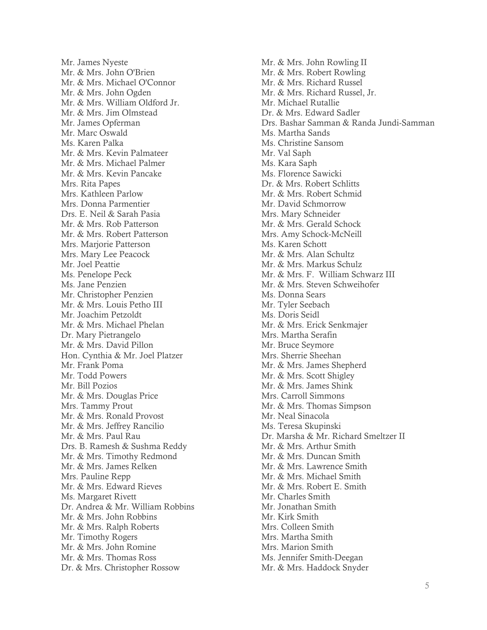Mr. James Nyeste Mr. & Mrs. John O'Brien Mr. & Mrs. Michael O'Connor Mr. & Mrs. John Ogden Mr. & Mrs. William Oldford Jr. Mr. & Mrs. Jim Olmstead Mr. James Opferman Mr. Marc Oswald Ms. Karen Palka Mr. & Mrs. Kevin Palmateer Mr. & Mrs. Michael Palmer Mr. & Mrs. Kevin Pancake Mrs. Rita Papes Mrs. Kathleen Parlow Mrs. Donna Parmentier Drs. E. Neil & Sarah Pasia Mr. & Mrs. Rob Patterson Mr. & Mrs. Robert Patterson Mrs. Marjorie Patterson Mrs. Mary Lee Peacock Mr. Joel Peattie Ms. Penelope Peck Ms. Jane Penzien Mr. Christopher Penzien Mr. & Mrs. Louis Petho III Mr. Joachim Petzoldt Mr. & Mrs. Michael Phelan Dr. Mary Pietrangelo Mr. & Mrs. David Pillon Hon. Cynthia & Mr. Joel Platzer Mr. Frank Poma Mr. Todd Powers Mr. Bill Pozios Mr. & Mrs. Douglas Price Mrs. Tammy Prout Mr. & Mrs. Ronald Provost Mr. & Mrs. Jeffrey Rancilio Mr. & Mrs. Paul Rau Drs. B. Ramesh & Sushma Reddy Mr. & Mrs. Timothy Redmond Mr. & Mrs. James Relken Mrs. Pauline Repp Mr. & Mrs. Edward Rieves Ms. Margaret Rivett Dr. Andrea & Mr. William Robbins Mr. & Mrs. John Robbins Mr. & Mrs. Ralph Roberts Mr. Timothy Rogers Mr. & Mrs. John Romine Mr. & Mrs. Thomas Ross Dr. & Mrs. Christopher Rossow

Mr. & Mrs. John Rowling II Mr. & Mrs. Robert Rowling Mr. & Mrs. Richard Russel Mr. & Mrs. Richard Russel, Jr. Mr. Michael Rutallie Dr. & Mrs. Edward Sadler Drs. Bashar Samman & Randa Jundi-Samman Ms. Martha Sands Ms. Christine Sansom Mr. Val Saph Ms. Kara Saph Ms. Florence Sawicki Dr. & Mrs. Robert Schlitts Mr. & Mrs. Robert Schmid Mr. David Schmorrow Mrs. Mary Schneider Mr. & Mrs. Gerald Schock Mrs. Amy Schock-McNeill Ms. Karen Schott Mr. & Mrs. Alan Schultz Mr. & Mrs. Markus Schulz Mr. & Mrs. F. William Schwarz III Mr. & Mrs. Steven Schweihofer Ms. Donna Sears Mr. Tyler Seebach Ms. Doris Seidl Mr. & Mrs. Erick Senkmajer Mrs. Martha Serafin Mr. Bruce Seymore Mrs. Sherrie Sheehan Mr. & Mrs. James Shepherd Mr. & Mrs. Scott Shigley Mr. & Mrs. James Shink Mrs. Carroll Simmons Mr. & Mrs. Thomas Simpson Mr. Neal Sinacola Ms. Teresa Skupinski Dr. Marsha & Mr. Richard Smeltzer II Mr. & Mrs. Arthur Smith Mr. & Mrs. Duncan Smith Mr. & Mrs. Lawrence Smith Mr. & Mrs. Michael Smith Mr. & Mrs. Robert E. Smith Mr. Charles Smith Mr. Jonathan Smith Mr. Kirk Smith Mrs. Colleen Smith Mrs. Martha Smith Mrs. Marion Smith Ms. Jennifer Smith-Deegan Mr. & Mrs. Haddock Snyder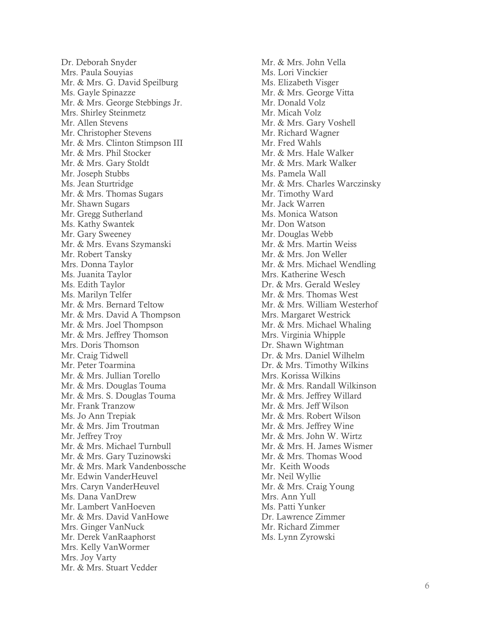Dr. Deborah Snyder Mrs. Paula Souyias Mr. & Mrs. G. David Speilburg Ms. Gayle Spinazze Mr. & Mrs. George Stebbings Jr. Mrs. Shirley Steinmetz Mr. Allen Stevens Mr. Christopher Stevens Mr. & Mrs. Clinton Stimpson III Mr. & Mrs. Phil Stocker Mr. & Mrs. Gary Stoldt Mr. Joseph Stubbs Ms. Jean Sturtridge Mr. & Mrs. Thomas Sugars Mr. Shawn Sugars Mr. Gregg Sutherland Ms. Kathy Swantek Mr. Gary Sweeney Mr. & Mrs. Evans Szymanski Mr. Robert Tansky Mrs. Donna Taylor Ms. Juanita Taylor Ms. Edith Taylor Ms. Marilyn Telfer Mr. & Mrs. Bernard Teltow Mr. & Mrs. David A Thompson Mr. & Mrs. Joel Thompson Mr. & Mrs. Jeffrey Thomson Mrs. Doris Thomson Mr. Craig Tidwell Mr. Peter Toarmina Mr. & Mrs. Jullian Torello Mr. & Mrs. Douglas Touma Mr. & Mrs. S. Douglas Touma Mr. Frank Tranzow Ms. Jo Ann Trepiak Mr. & Mrs. Jim Troutman Mr. Jeffrey Troy Mr. & Mrs. Michael Turnbull Mr. & Mrs. Gary Tuzinowski Mr. & Mrs. Mark Vandenbossche Mr. Edwin VanderHeuvel Mrs. Caryn VanderHeuvel Ms. Dana VanDrew Mr. Lambert VanHoeven Mr. & Mrs. David VanHowe Mrs. Ginger VanNuck Mr. Derek VanRaaphorst Mrs. Kelly VanWormer Mrs. Joy Varty Mr. & Mrs. Stuart Vedder

Mr. & Mrs. John Vella Ms. Lori Vinckier Ms. Elizabeth Visger Mr. & Mrs. George Vitta Mr. Donald Volz Mr. Micah Volz Mr. & Mrs. Gary Voshell Mr. Richard Wagner Mr. Fred Wahls Mr. & Mrs. Hale Walker Mr. & Mrs. Mark Walker Ms. Pamela Wall Mr. & Mrs. Charles Warczinsky Mr. Timothy Ward Mr. Jack Warren Ms. Monica Watson Mr. Don Watson Mr. Douglas Webb Mr. & Mrs. Martin Weiss Mr. & Mrs. Jon Weller Mr. & Mrs. Michael Wendling Mrs. Katherine Wesch Dr. & Mrs. Gerald Wesley Mr. & Mrs. Thomas West Mr. & Mrs. William Westerhof Mrs. Margaret Westrick Mr. & Mrs. Michael Whaling Mrs. Virginia Whipple Dr. Shawn Wightman Dr. & Mrs. Daniel Wilhelm Dr. & Mrs. Timothy Wilkins Mrs. Korissa Wilkins Mr. & Mrs. Randall Wilkinson Mr. & Mrs. Jeffrey Willard Mr. & Mrs. Jeff Wilson Mr. & Mrs. Robert Wilson Mr. & Mrs. Jeffrey Wine Mr. & Mrs. John W. Wirtz Mr. & Mrs. H. James Wismer Mr. & Mrs. Thomas Wood Mr. Keith Woods Mr. Neil Wyllie Mr. & Mrs. Craig Young Mrs. Ann Yull Ms. Patti Yunker Dr. Lawrence Zimmer Mr. Richard Zimmer Ms. Lynn Zyrowski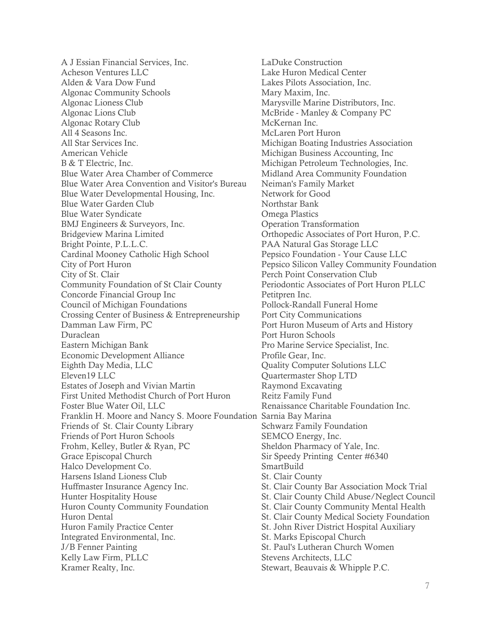A J Essian Financial Services, Inc. Acheson Ventures LLC Alden & Vara Dow Fund Algonac Community Schools Algonac Lioness Club Algonac Lions Club Algonac Rotary Club All 4 Seasons Inc. All Star Services Inc. American Vehicle B & T Electric, Inc. Blue Water Area Chamber of Commerce Blue Water Area Convention and Visitor's Bureau Blue Water Developmental Housing, Inc. Blue Water Garden Club Blue Water Syndicate BMJ Engineers & Surveyors, Inc. Bridgeview Marina Limited Bright Pointe, P.L.L.C. Cardinal Mooney Catholic High School City of Port Huron City of St. Clair Community Foundation of St Clair County Concorde Financial Group Inc Council of Michigan Foundations Crossing Center of Business & Entrepreneurship Damman Law Firm, PC Duraclean Eastern Michigan Bank Economic Development Alliance Eighth Day Media, LLC Eleven19 LLC Estates of Joseph and Vivian Martin First United Methodist Church of Port Huron Foster Blue Water Oil, LLC Franklin H. Moore and Nancy S. Moore Foundation Sarnia Bay Marina Friends of St. Clair County Library Friends of Port Huron Schools Frohm, Kelley, Butler & Ryan, PC Grace Episcopal Church Halco Development Co. Harsens Island Lioness Club Huffmaster Insurance Agency Inc. Hunter Hospitality House Huron County Community Foundation Huron Dental Huron Family Practice Center Integrated Environmental, Inc. J/B Fenner Painting Kelly Law Firm, PLLC Kramer Realty, Inc.

LaDuke Construction Lake Huron Medical Center Lakes Pilots Association, Inc. Mary Maxim, Inc. Marysville Marine Distributors, Inc. McBride - Manley & Company PC McKernan Inc. McLaren Port Huron Michigan Boating Industries Association Michigan Business Accounting, Inc Michigan Petroleum Technologies, Inc. Midland Area Community Foundation Neiman's Family Market Network for Good Northstar Bank Omega Plastics Operation Transformation Orthopedic Associates of Port Huron, P.C. PAA Natural Gas Storage LLC Pepsico Foundation - Your Cause LLC Pepsico Silicon Valley Community Foundation Perch Point Conservation Club Periodontic Associates of Port Huron PLLC Petitpren Inc. Pollock-Randall Funeral Home Port City Communications Port Huron Museum of Arts and History Port Huron Schools Pro Marine Service Specialist, Inc. Profile Gear, Inc. Quality Computer Solutions LLC Quartermaster Shop LTD Raymond Excavating Reitz Family Fund Renaissance Charitable Foundation Inc. Schwarz Family Foundation SEMCO Energy, Inc. Sheldon Pharmacy of Yale, Inc. Sir Speedy Printing Center #6340 **SmartBuild** St. Clair County St. Clair County Bar Association Mock Trial St. Clair County Child Abuse/Neglect Council St. Clair County Community Mental Health St. Clair County Medical Society Foundation St. John River District Hospital Auxiliary St. Marks Episcopal Church St. Paul's Lutheran Church Women Stevens Architects, LLC Stewart, Beauvais & Whipple P.C.